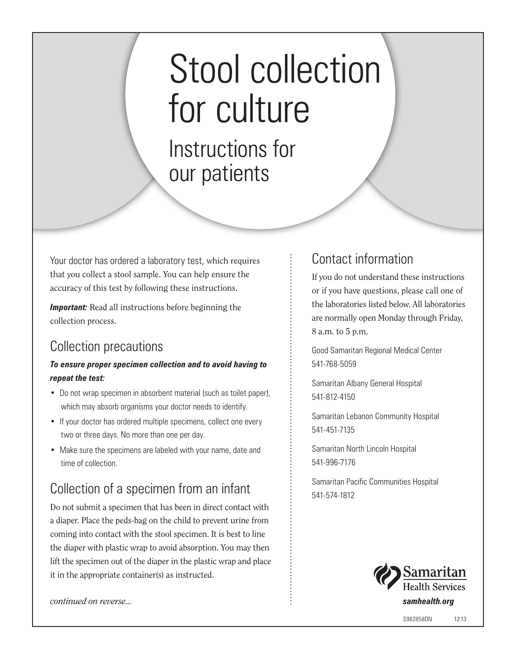# Stool collection for culture

Instructions for our patients

Your doctor has ordered a laboratory test, which requires that you collect a stool sample. You can help ensure the accuracy of this test by following these instructions.

**Important:** Read all instructions before beginning the collection process.

#### Collection precautions

#### *To ensure proper specimen collection and to avoid having to repeat the test:*

- Do not wrap specimen in absorbent material (such as toilet paper), which may absorb organisms your doctor needs to identify.
- If your doctor has ordered multiple specimens, collect one every two or three days. No more than one per day.
- Make sure the specimens are labeled with your name, date and time of collection.

### Collection of a specimen from an infant

Do not submit a specimen that has been in direct contact with a diaper. Place the peds-bag on the child to prevent urine from coming into contact with the stool specimen. It is best to line the diaper with plastic wrap to avoid absorption. You may then lift the specimen out of the diaper in the plastic wrap and place it in the appropriate container(s) as instructed.

#### Contact information

If you do not understand these instructions or if you have questions, please call one of the laboratories listed below. All laboratories are normally open Monday through Friday, 8 a.m. to 5 p.m.

Good Samaritan Regional Medical Center 541-768-5059

Samaritan Albany General Hospital 541-812-4150

Samaritan Lebanon Community Hospital 541-451-7135

Samaritan North Lincoln Hospital 541-996-7176

Samaritan Pacific Communities Hospital 541-574-1812